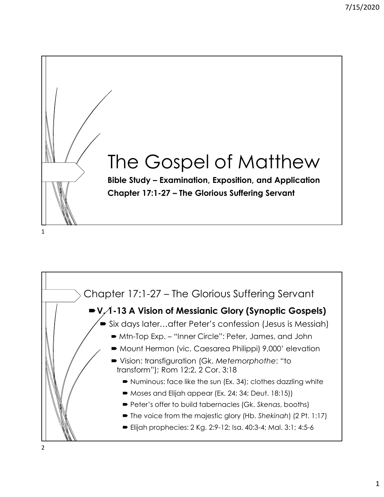